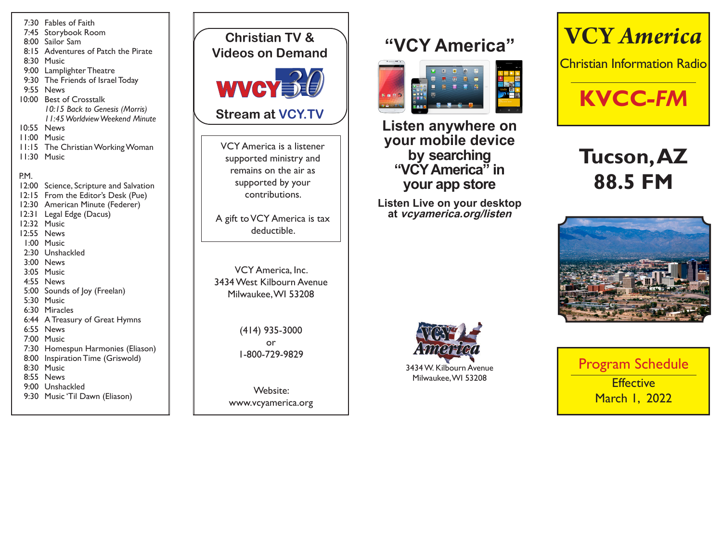7:30 Fables of Faith 7:45 Storybook Room 8:00 Sailor Sam 8:15 Adventures of Patch the Pirate 8:30 Music 9:00 Lamplighter Theatre 9:30 The Friends of Israel Today 9:55 News 10:00 Best of Crosstalk *10:15 Back to Genesis (Morris) 11:45 Worldview Weekend Minute* 10:55 News 11:00 Music 11:15 The Christian Working Woman 11:30 Music P.M. 12:00 Science, Scripture and Salvation 12:15 From the Editor's Desk (Pue) 12:30 American Minute (Federer) 12:31 Legal Edge (Dacus) 12:32 Music 12:55 News 1:00 Music 2:30 Unshackled 3:00 News 3:05 Music 4:55 News 5:00 Sounds of Joy (Freelan) 5:30 Music 6:30 Miracles 6:44 A Treasury of Great Hymns 6:55 News 7:00 Music 7:30 Homespun Harmonies (Eliason) 8:00 Inspiration Time (Griswold) 8:30 Music 8:55 News 9:00 Unshackled 9:30 Music 'Til Dawn (Eliason)

VCY America, Inc. 3434 West Kilbourn Avenue Milwaukee, WI 53208 (414) 935-3000 or 1-800-729-9829 Website: www.vcyamerica.org VCY America is a listener supported ministry and remains on the air as supported by your contributions. A gift to VCY America is tax deductible. WVCY**T Christian TV & Videos on Demand Stream at VCY.TV**

## **"VCY America"**



**Listen anywhere on your mobile device by searching "VCY America" in your app store**

**Listen Live on your desktop at vcyamerica.org/listen**



# **Tucson, AZ 88.5 FM**





Program Schedule **Effective** March 1, 2022